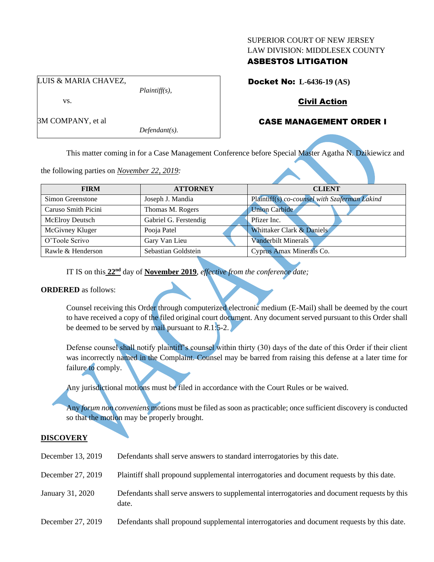#### SUPERIOR COURT OF NEW JERSEY LAW DIVISION: MIDDLESEX COUNTY

# ASBESTOS LITIGATION

Docket No: **L-6436-19 (AS)**

# Civil Action

# CASE MANAGEMENT ORDER I

This matter coming in for a Case Management Conference before Special Master Agatha N. Dzikiewicz and

the following parties on *November 22, 2019:*

*Plaintiff(s),*

*Defendant(s).*

| <b>FIRM</b>            | <b>ATTORNEY</b>       | <b>CLIENT</b>                                 |
|------------------------|-----------------------|-----------------------------------------------|
| Simon Greenstone       | Joseph J. Mandia      | Plaintiff(s) co-counsel with Szaferman Lakind |
| Caruso Smith Picini    | Thomas M. Rogers      | <b>Union Carbide</b>                          |
| <b>McElroy Deutsch</b> | Gabriel G. Ferstendig | Pfizer Inc.                                   |
| McGivney Kluger        | Pooja Patel           | Whittaker Clark & Daniels                     |
| O'Toole Scrivo         | Gary Van Lieu         | <b>Vanderbilt Minerals</b>                    |
| Rawle & Henderson      | Sebastian Goldstein   | Cyprus Amax Minerals Co.                      |

IT IS on this **22nd** day of **November 2019**, *effective from the conference date;*

## **ORDERED** as follows:

Counsel receiving this Order through computerized electronic medium (E-Mail) shall be deemed by the court to have received a copy of the filed original court document. Any document served pursuant to this Order shall be deemed to be served by mail pursuant to *R*.1:5-2.

Defense counsel shall notify plaintiff's counsel within thirty (30) days of the date of this Order if their client was incorrectly named in the Complaint. Counsel may be barred from raising this defense at a later time for failure to comply.

Any jurisdictional motions must be filed in accordance with the Court Rules or be waived.

Any *forum non conveniens* motions must be filed as soon as practicable; once sufficient discovery is conducted so that the motion may be properly brought.

## **DISCOVERY**

| December 13, 2019 | Defendants shall serve answers to standard interrogatories by this date.                              |
|-------------------|-------------------------------------------------------------------------------------------------------|
| December 27, 2019 | Plaintiff shall propound supplemental interrogatories and document requests by this date.             |
| January 31, 2020  | Defendants shall serve answers to supplemental interrogatories and document requests by this<br>date. |
| December 27, 2019 | Defendants shall propound supplemental interrogatories and document requests by this date.            |

LUIS & MARIA CHAVEZ,

vs.

3M COMPANY, et al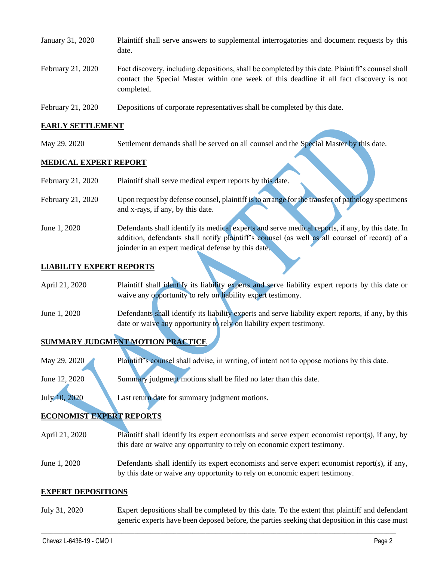| January 31, 2020  | Plaintiff shall serve answers to supplemental interrogatories and document requests by this<br>date.                                                                                                        |
|-------------------|-------------------------------------------------------------------------------------------------------------------------------------------------------------------------------------------------------------|
| February 21, 2020 | Fact discovery, including depositions, shall be completed by this date. Plaintiff's counsel shall<br>contact the Special Master within one week of this deadline if all fact discovery is not<br>completed. |
| February 21, 2020 | Depositions of corporate representatives shall be completed by this date.                                                                                                                                   |

#### **EARLY SETTLEMENT**

May 29, 2020 Settlement demands shall be served on all counsel and the Special Master by this date.

#### **MEDICAL EXPERT REPORT**

- February 21, 2020 Upon request by defense counsel, plaintiff is to arrange for the transfer of pathology specimens and x-rays, if any, by this date.
- June 1, 2020 Defendants shall identify its medical experts and serve medical reports, if any, by this date. In addition, defendants shall notify plaintiff's counsel (as well as all counsel of record) of a joinder in an expert medical defense by this date.

#### **LIABILITY EXPERT REPORTS**

| April 21, 2020 | Plaintiff shall identify its liability experts and serve liability expert reports by this date or   |
|----------------|-----------------------------------------------------------------------------------------------------|
|                | waive any opportunity to rely on liability expert testimony.                                        |
| June 1, 2020   | Defendants shall identify its liability experts and serve liability expert reports, if any, by this |

date or waive any opportunity to rely on liability expert testimony.

# **SUMMARY JUDGMENT MOTION PRACTICE**

May 29, 2020 Plaintiff's counsel shall advise, in writing, of intent not to oppose motions by this date.

June 12, 2020 Summary judgment motions shall be filed no later than this date.

July 10, 2020 Last return date for summary judgment motions.

## **ECONOMIST EXPERT REPORTS**

- April 21, 2020 Plaintiff shall identify its expert economists and serve expert economist report(s), if any, by this date or waive any opportunity to rely on economic expert testimony.
- June 1, 2020 Defendants shall identify its expert economists and serve expert economist report(s), if any, by this date or waive any opportunity to rely on economic expert testimony.

#### **EXPERT DEPOSITIONS**

July 31, 2020 Expert depositions shall be completed by this date. To the extent that plaintiff and defendant generic experts have been deposed before, the parties seeking that deposition in this case must

 $\_$  , and the set of the set of the set of the set of the set of the set of the set of the set of the set of the set of the set of the set of the set of the set of the set of the set of the set of the set of the set of th